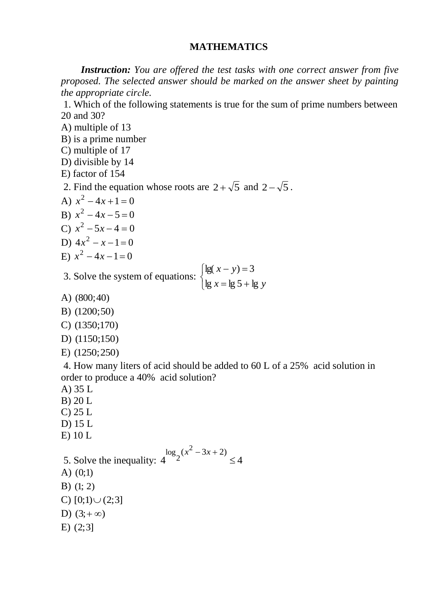## **MATHEMATICS**

 *Instruction: You are offered the test tasks with one correct answer from five proposed. The selected answer should be marked on the answer sheet by painting the appropriate cirсle.*

1. Which of the following statements is true for the sum of prime numbers between 20 and 30?

- A) multiple of 13
- B) is a prime number
- C) multiple of 17
- D) divisible by 14
- E) factor of 154

2. Find the equation whose roots are  $2 + \sqrt{5}$  and  $2 - \sqrt{5}$ .

- A)  $x^2 4x + 1 = 0$
- B)  $x^2 4x 5 = 0$
- C)  $x^2 5x 4 = 0$
- D)  $4x^2 x 1 = 0$
- E)  $x^2 4x 1 = 0$
- 3. Solve the system of equations:  $\overline{\mathcal{L}}$  $\left\{ \right.$  $\left\lceil$  $=$  lg 5 +  $-y$ ) =  $x = \lg 5 + \lg y$  $x - y$  $\lg x = \lg 5 + \lg$  $lg(x - y) = 3$
- A) (800;40)
- B) (1200;50)
- C) (1350;170)
- D) (1150;150)
- E) (1250;250)

4. How many liters of acid should be added to 60 L of a 25% acid solution in order to produce a 40% acid solution?

- A) 35 L
- B) 20 L
- C) 25 L
- D) 15 L
- E) 10 L

5. Solve the inequality:  $\log_2(x^2)$  $2^{(x^2-3x+2)}$  $4 \frac{\log_2(x - 3x + 2)}{2} \leq 4$  $x^2 - 3x + 2$  $\leq$ 

- A) (0;1)
- B) (1; 2)
- C)  $[0;1) \cup (2;3]$
- D)  $(3; +\infty)$
- E) (2;3]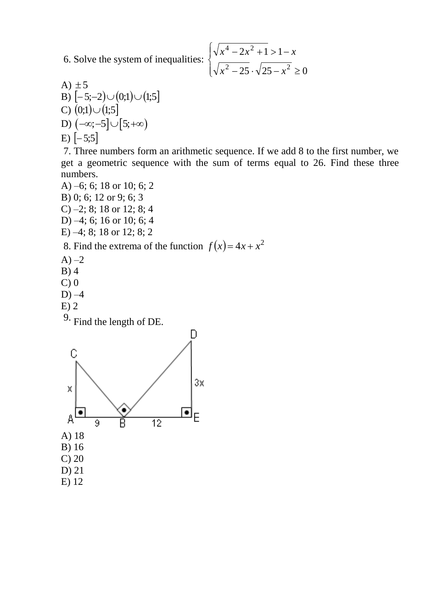6. Solve the system of inequalities:  $\left\{ \right.$ 

$$
\begin{cases} \sqrt{x^4 - 2x^2 + 1} > 1 - x \\ \sqrt{x^2 - 25} \cdot \sqrt{25 - x^2} \ge 0 \end{cases}
$$

A) ±5  
B) 
$$
[-5;-2] \cup (0;1) \cup (1;5]
$$
  
C)  $(0;1) \cup (1;5]$   
D)  $(-\infty; -5] \cup [5; +\infty)$   
E)  $[-5;5]$ 

7. Three numbers form an arithmetic sequence. If we add 8 to the first number, we get a geometric sequence with the sum of terms equal to 26. Find these three numbers.

A) –6; 6; 18 or 10; 6; 2 B) 0; 6; 12 or 9; 6; 3 C) –2; 8; 18 or 12; 8; 4 D) –4; 6; 16 or 10; 6; 4 E) –4; 8; 18 or 12; 8; 2

8. Find the extrema of the function  $f(x) = 4x + x^2$ 

- $A$ )  $-2$
- B) 4
- $C$ )  $0$
- $D$ )  $-4$
- E) 2

9. Find the length of DE.

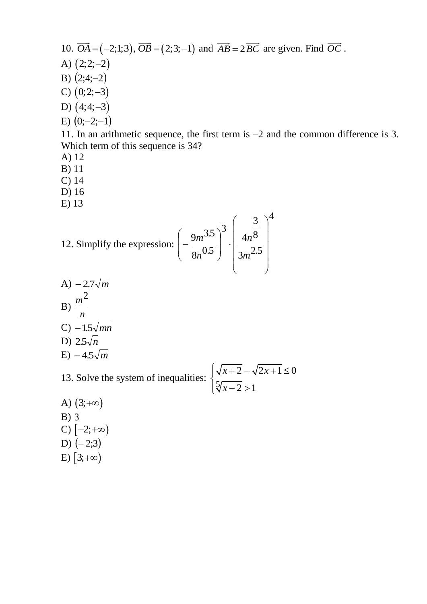\n- 10. 
$$
\overrightarrow{OA} = (-2; 1; 3)
$$
,  $\overrightarrow{OB} = (2; 3; -1)$  and  $\overrightarrow{AB} = 2\overrightarrow{BC}$  are given. Find  $\overrightarrow{OC}$ .
\n- A)  $(2; 2; -2)$
\n- B)  $(2; 4; -2)$
\n- C)  $(0; 2; -3)$
\n- D)  $(4; 4; -3)$
\n- E)  $(0; -2; -1)$
\n- 11. In an arithmetic sequence, the first term is  $-2$  and the common difference is 3. Which term of this sequence is 34?
\n

- A) 12
- B) 11
- C) 14
- D) 16
- E) 13

12. Simplify the expression: 
$$
\left(-\frac{9m^{3.5}}{8n^{0.5}}\right)^3 \cdot \left(\frac{\frac{3}{4n^8}}{3m^{2.5}}\right)^4
$$

A) 
$$
-2.7\sqrt{m}
$$
  
\nB)  $\frac{m^2}{n}$   
\nC)  $-1.5\sqrt{mn}$   
\nD)  $2.5\sqrt{n}$   
\nE)  $-4.5\sqrt{m}$ 

13. Solve the system of inequalities: 5  $\overline{2} - \sqrt{2x+1} \leq 0$  $\frac{1}{2}$  > 1  $\overline{x+2} - \sqrt{2x}$ *x*  $\begin{cases} \sqrt{x+2} - \sqrt{2x+1} \le 0 \\ 5\sqrt{x+1} \le 0 \end{cases}$  $\left\{\sqrt[5]{x-2} > 1\right\}$ 

A)  $(3, +\infty)$ B) 3 C)  $[-2;+\infty)$ D)  $(-2;3)$ E)  $[3;+\infty)$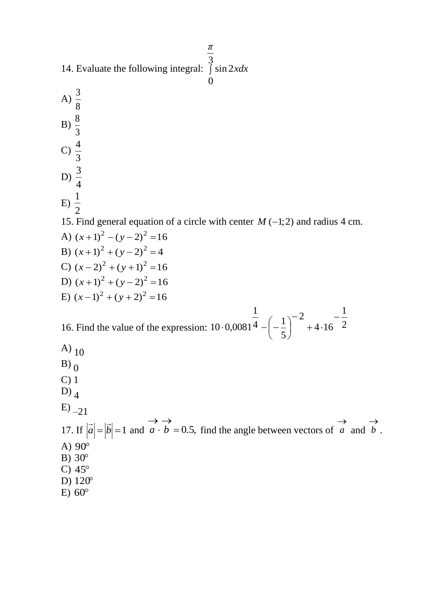14. Evaluate the following integral: 3 sin 2 *xdx*

A)  $\frac{3}{5}$ 8  $B) \frac{8}{3}$ 3 C) 4 3 D) 3 4 E) 1 2 15. Find general equation of a circle with center  $M(-1, 2)$  and radius 4 cm. A)  $(x+1)^2 - (y-2)^2 = 16$ B)  $(x+1)^2 + (y-2)^2 = 4$ C)  $(x-2)^2 + (y+1)^2 = 16$ D)  $(x+1)^2 + (y-2)^2 = 16$ E)  $(x-1)^2 + (y+2)^2 = 16$ 16. Find the value of the expression:  $10 \cdot 0.0081^4 - \left(-\frac{1}{5}\right) + 4 \cdot 16 = 2$ 1  $4.16$ 2 5  $\frac{1}{4}$   $\frac{1}{-}$ 1  $10 \cdot 0,0081$  $\overline{a}$  $+4.$  $\overline{a}$  $\overline{\phantom{a}}$  $\int$  $\setminus$  $\mathsf{I}$  $\setminus$  $-0.0081^{\overline{4}} - \left(-\right)$ A)  $_{10}$  $B)$ <sup>0</sup> C) 1 D) 4  $E_{-21}$ 17. If  $|\vec{a}| = |\vec{b}| = 1$  and  $\vec{a} \cdot \vec{b} = 0.5$ ,  $\rightarrow$   $\rightarrow$  $\cdot$  *b* = 0.5, find the angle between vectors of *a*  $\rightarrow$ and *b*  $\rightarrow$ A) 90 B) 30 C)  $45^\circ$ D) 120  $E) 60^\circ$ 

.

0

*π*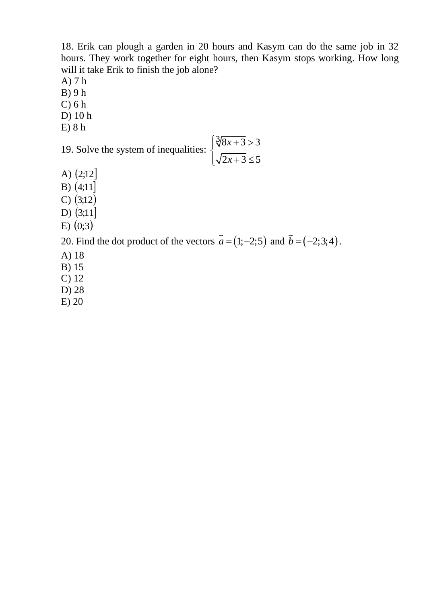18. Erik can plough a garden in 20 hours and Kasym can do the same job in 32 hours. They work together for eight hours, then Kasym stops working. How long will it take Erik to finish the job alone?

- A) 7 h
- B) 9 h
- C) 6 h
- D) 10 h
- E) 8 h

19. Solve the system of inequalities: 
$$
\begin{cases} \sqrt[3]{8x+3} > 3 \\ \sqrt{2x+3} \le 5 \end{cases}
$$

- A)  $(2;12]$
- B)  $(4;11)$
- C)  $(3;12)$
- D)  $(3;11]$
- $E(0;3)$

20. Find the dot product of the vectors  $a = (1, -2, 5)$  and  $b = (-2, 3, 4)$ .

- A) 18
- B) 15
- C) 12
- D) 28
- E) 20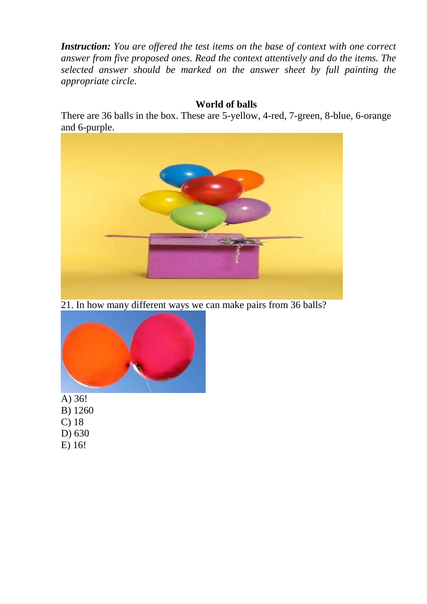*Instruction: You are offered the test items on the base of context with one correct answer from five proposed ones. Read the context attentively and do the items. The selected answer should be marked on the answer sheet by full painting the appropriate circle.*

## **World of balls**

There are 36 balls in the box. These are 5-yellow, 4-red, 7-green, 8-blue, 6-orange and 6-purple.



21. In how many different ways we can make pairs from 36 balls?



A) 36!

- B) 1260
- C) 18
- D) 630
- E) 16!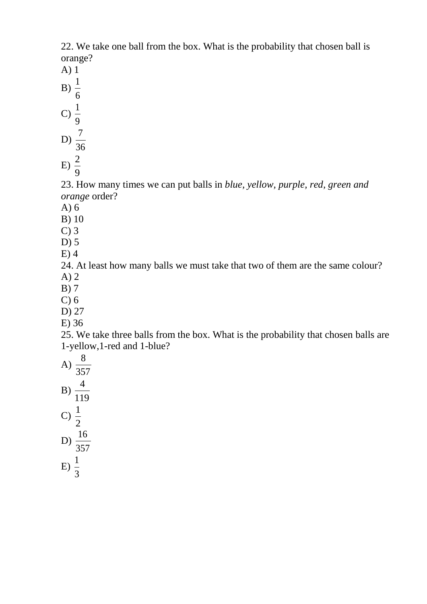22. We take one ball from the box. What is the probability that chosen ball is orange?

- A) 1
- B) 1
- 6 1
- C) 9
- D) 36 7
- E) 9 2

23. How many times we can put balls in *blue, yellow, purple, red, green and orange* order?

- A) 6
- B) 10
- C) 3
- D) 5
- E) 4

24. At least how many balls we must take that two of them are the same colour? A) 2

- B) 7
- C) 6
- D) 27
- E) 36

25. We take three balls from the box. What is the probability that chosen balls are 1-yellow,1-red and 1-blue?

- A) 357 8 B) 4
- 119 C) 2 1
- D) 357 16
- E) 3 1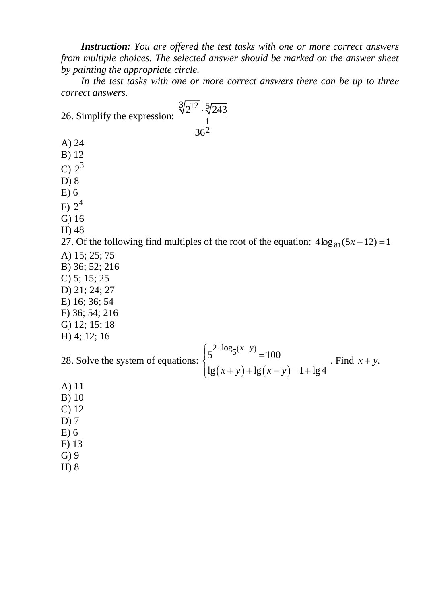*Instruction: You are offered the test tasks with one or more correct answers from multiple choices. The selected answer should be marked on the answer sheet by painting the appropriate circle.*

 *In the test tasks with one or more correct answers there can be up to threе correct answers.*

| $\frac{\sqrt[3]{2^{12}} \cdot \sqrt[5]{243}}{\frac{1}{2}}$<br>26. Simplify the expression:                                                 |
|--------------------------------------------------------------------------------------------------------------------------------------------|
|                                                                                                                                            |
| $A)$ 24                                                                                                                                    |
| $B)$ 12                                                                                                                                    |
| C) $2^3$                                                                                                                                   |
| D) 8                                                                                                                                       |
| E(6)                                                                                                                                       |
| F) $2^4$                                                                                                                                   |
| $G)$ 16                                                                                                                                    |
| $H)$ 48                                                                                                                                    |
| 27. Of the following find multiples of the root of the equation: $4\log_{81}(5x-12)=1$                                                     |
| A) 15; 25; 75                                                                                                                              |
| B) 36; 52; 216                                                                                                                             |
| $C$ ) 5; 15; 25                                                                                                                            |
| D) $21; 24; 27$                                                                                                                            |
| E) 16; 36; 54                                                                                                                              |
| F) 36; 54; 216                                                                                                                             |
| G) 12; 15; 18                                                                                                                              |
| H) 4; 12; 16                                                                                                                               |
|                                                                                                                                            |
| 28. Solve the system of equations: $\begin{cases} 5^{2+\log_5(x-y)} = 100 \\ \lg(x+y) + \lg(x-y) = 1 + \lg 4 \end{cases}$ . Find $x + y$ . |
| $A)$ 11                                                                                                                                    |
| $B)$ 10                                                                                                                                    |
| C <sub>2</sub> 12                                                                                                                          |
| $D)$ 7                                                                                                                                     |
| E(6)                                                                                                                                       |
| $F)$ 13                                                                                                                                    |
| $G$ ) 9                                                                                                                                    |
| H) 8                                                                                                                                       |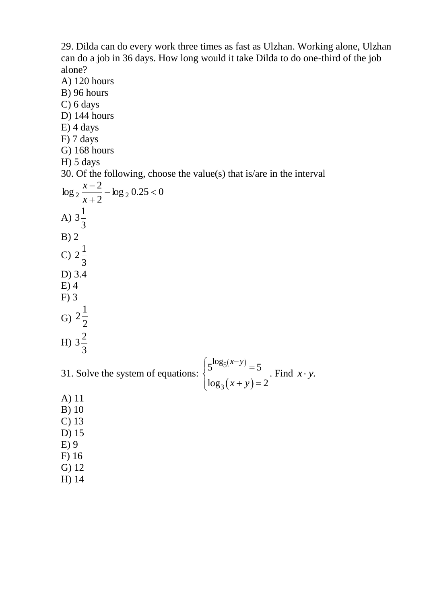29. Dilda can do every work three times as fast as Ulzhan. Working alone, Ulzhan can do a job in 36 days. How long would it take Dilda to do one-third of the job alone?

- A) 120 hours B) 96 hours C) 6 days D) 144 hours E) 4 days F) 7 days G) 168 hours H) 5 days 30. Of the following, choose the value(s) that is/are in the interval  $\log_2 0.25 < 0$ 2 2  $\log_2 \frac{x-z}{x+2} - \log_2 0.25 <$  $\overline{a}$ *x x* A) 3 1 3 B) 2 C) 3 1 2 D) 3.4 E) 4 F) 3 G) 2 1 2 H) 3 2 3 31. Solve the system of equations:  $(x-y)$  $(x+y)$ 5 3  $5^{\log_5(x-y)} = 5$  $\log_3(x+y) = 2$  $x - y$  $x + y$  $\int 5^{\log_5(x-y)} =$  $\int_0^{\infty} \log_3(x+y) = 2$ . Find  $x \cdot y$ . A) 11
- B) 10 C) 13 D) 15 E) 9
- F) 16
- G) 12
- H) 14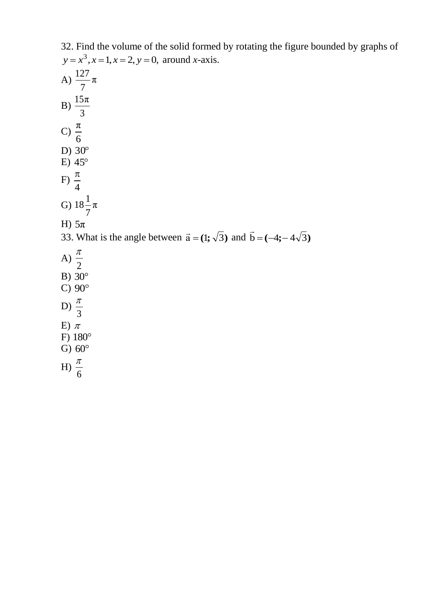| 32. Find the volume of the solid formed by rotating the figure bounded by graphs of      |
|------------------------------------------------------------------------------------------|
| $y = x^3, x = 1, x = 2, y = 0$ , around x-axis.                                          |
| A) $\frac{127}{7}\pi$                                                                    |
| B) $\frac{15\pi}{3}$                                                                     |
| C) $\frac{\pi}{6}$                                                                       |
| D) $30^{\circ}$                                                                          |
| $E)$ 45 $\degree$                                                                        |
| F) $\frac{\pi}{4}$                                                                       |
| G) $18\frac{1}{7}\pi$                                                                    |
| H) $5\pi$                                                                                |
| 33. What is the angle between $\vec{a} = (1; \sqrt{3})$ and $\vec{b} = (-4; -4\sqrt{3})$ |
| A) $\frac{\pi}{2}$                                                                       |
| B) $30^\circ$                                                                            |
| C) $90^\circ$                                                                            |
| D) $\frac{\pi}{3}$                                                                       |
| E) $\pi$                                                                                 |
| F) $180^\circ$                                                                           |
| G) $60^\circ$                                                                            |
| H) $\frac{\pi}{6}$                                                                       |